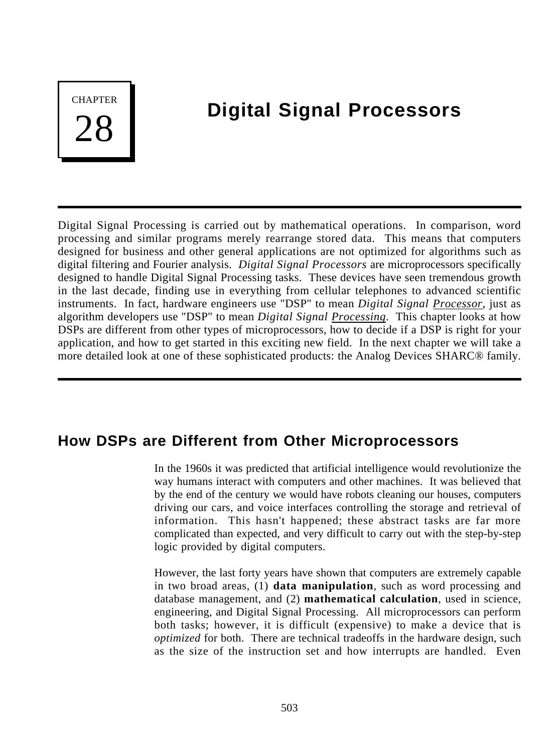**CHAPTER** 

# **Digital Signal Processors**

Digital Signal Processing is carried out by mathematical operations. In comparison, word processing and similar programs merely rearrange stored data. This means that computers designed for business and other general applications are not optimized for algorithms such as digital filtering and Fourier analysis. *Digital Signal Processors* are microprocessors specifically designed to handle Digital Signal Processing tasks. These devices have seen tremendous growth in the last decade, finding use in everything from cellular telephones to advanced scientific instruments. In fact, hardware engineers use "DSP" to mean *Digital Signal Processor*, just as algorithm developers use "DSP" to mean *Digital Signal Processing*. This chapter looks at how DSPs are different from other types of microprocessors, how to decide if a DSP is right for your application, and how to get started in this exciting new field. In the next chapter we will take a more detailed look at one of these sophisticated products: the Analog Devices SHARC® family.

### **How DSPs are Different from Other Microprocessors**

In the 1960s it was predicted that artificial intelligence would revolutionize the way humans interact with computers and other machines. It was believed that by the end of the century we would have robots cleaning our houses, computers driving our cars, and voice interfaces controlling the storage and retrieval of information. This hasn't happened; these abstract tasks are far more complicated than expected, and very difficult to carry out with the step-by-step logic provided by digital computers.

However, the last forty years have shown that computers are extremely capable in two broad areas, (1) **data manipulation**, such as word processing and database management, and (2) **mathematical calculation**, used in science, engineering, and Digital Signal Processing. All microprocessors can perform both tasks; however, it is difficult (expensive) to make a device that is *optimized* for both. There are technical tradeoffs in the hardware design, such as the size of the instruction set and how interrupts are handled. Even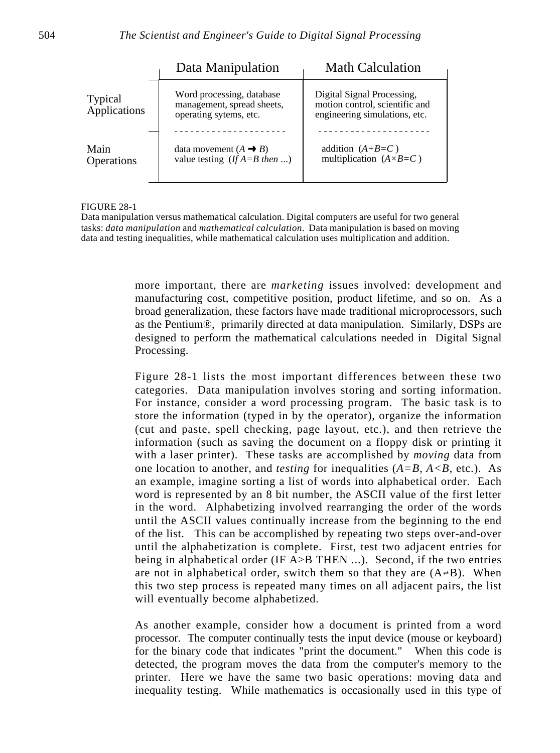|                           | Data Manipulation                                                                 | <b>Math Calculation</b>                                                                       |
|---------------------------|-----------------------------------------------------------------------------------|-----------------------------------------------------------------------------------------------|
| Typical<br>Applications   | Word processing, database<br>management, spread sheets,<br>operating sytems, etc. | Digital Signal Processing,<br>motion control, scientific and<br>engineering simulations, etc. |
|                           |                                                                                   |                                                                                               |
| Main<br><b>Operations</b> | data movement $(A \rightarrow B)$<br>value testing $(If A = B then )$             | addition $(A+B=C)$<br>multiplication $(A \times B = C)$                                       |

#### FIGURE 28-1

Data manipulation versus mathematical calculation. Digital computers are useful for two general tasks: *data manipulation* and *mathematical calculation*. Data manipulation is based on moving data and testing inequalities, while mathematical calculation uses multiplication and addition.

> more important, there are *marketing* issues involved: development and manufacturing cost, competitive position, product lifetime, and so on. As a broad generalization, these factors have made traditional microprocessors, such as the Pentium®, primarily directed at data manipulation. Similarly, DSPs are designed to perform the mathematical calculations needed in Digital Signal Processing.

> Figure 28-1 lists the most important differences between these two categories. Data manipulation involves storing and sorting information. For instance, consider a word processing program. The basic task is to store the information (typed in by the operator), organize the information (cut and paste, spell checking, page layout, etc.), and then retrieve the information (such as saving the document on a floppy disk or printing it with a laser printer). These tasks are accomplished by *moving* data from one location to another, and *testing* for inequalities  $(A=B, A As$ an example, imagine sorting a list of words into alphabetical order. Each word is represented by an 8 bit number, the ASCII value of the first letter in the word. Alphabetizing involved rearranging the order of the words until the ASCII values continually increase from the beginning to the end of the list. This can be accomplished by repeating two steps over-and-over until the alphabetization is complete. First, test two adjacent entries for being in alphabetical order (IF A>B THEN ...). Second, if the two entries are not in alphabetical order, switch them so that they are  $(A \neq B)$ . When this two step process is repeated many times on all adjacent pairs, the list will eventually become alphabetized.

> As another example, consider how a document is printed from a word processor. The computer continually tests the input device (mouse or keyboard) for the binary code that indicates "print the document." When this code is detected, the program moves the data from the computer's memory to the printer. Here we have the same two basic operations: moving data and inequality testing. While mathematics is occasionally used in this type of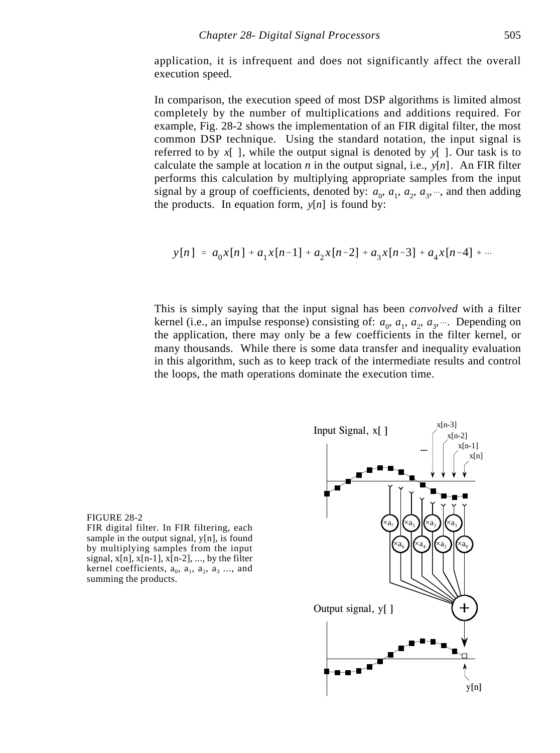application, it is infrequent and does not significantly affect the overall execution speed.

In comparison, the execution speed of most DSP algorithms is limited almost completely by the number of multiplications and additions required. For example, Fig. 28-2 shows the implementation of an FIR digital filter, the most common DSP technique. Using the standard notation, the input signal is referred to by *x*[ ], while the output signal is denoted by *y*[ ]. Our task is to calculate the sample at location *n* in the output signal, i.e.,  $y[n]$ . An FIR filter performs this calculation by multiplying appropriate samples from the input signal by a group of coefficients, denoted by:  $a_0$ ,  $a_1$ ,  $a_2$ ,  $a_3$ ,  $\ldots$ , and then adding the products. In equation form,  $y[n]$  is found by:

$$
y[n] = a_0 x[n] + a_1 x[n-1] + a_2 x[n-2] + a_3 x[n-3] + a_4 x[n-4] + \cdots
$$

This is simply saying that the input signal has been *convolved* with a filter kernel (i.e., an impulse response) consisting of:  $a_0$ ,  $a_1$ ,  $a_2$ ,  $a_3$ ,  $\ldots$ . Depending on the application, there may only be a few coefficients in the filter kernel, or many thousands. While there is some data transfer and inequality evaluation in this algorithm, such as to keep track of the intermediate results and control the loops, the math operations dominate the execution time.



#### FIGURE 28-2

FIR digital filter. In FIR filtering, each sample in the output signal,  $y[n]$ , is found by multiplying samples from the input signal,  $x[n], x[n-1], x[n-2], ...,$  by the filter kernel coefficients,  $a_0$ ,  $a_1$ ,  $a_2$ ,  $a_3$  ..., and summing the products.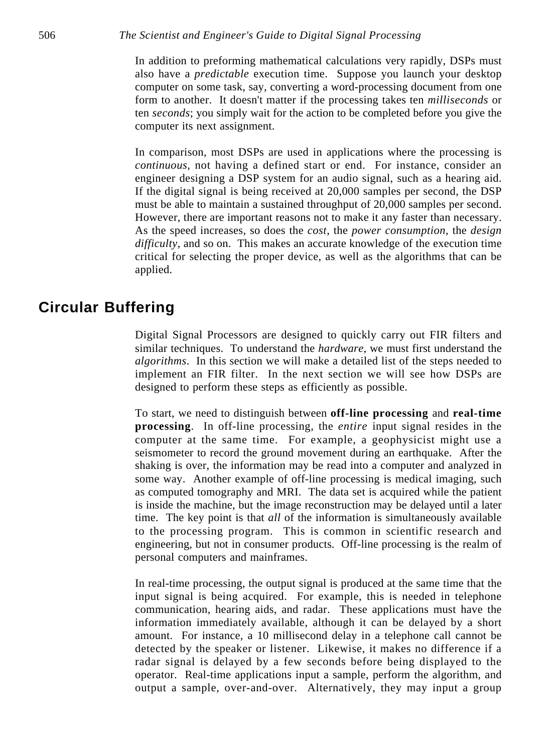In addition to preforming mathematical calculations very rapidly, DSPs must also have a *predictable* execution time. Suppose you launch your desktop computer on some task, say, converting a word-processing document from one form to another. It doesn't matter if the processing takes ten *milliseconds* or ten *seconds*; you simply wait for the action to be completed before you give the computer its next assignment.

In comparison, most DSPs are used in applications where the processing is *continuous,* not having a defined start or end. For instance, consider an engineer designing a DSP system for an audio signal, such as a hearing aid. If the digital signal is being received at 20,000 samples per second, the DSP must be able to maintain a sustained throughput of 20,000 samples per second. However, there are important reasons not to make it any faster than necessary. As the speed increases, so does the *cost*, the *power consumption*, the *design difficulty*, and so on. This makes an accurate knowledge of the execution time critical for selecting the proper device, as well as the algorithms that can be applied.

### **Circular Buffering**

Digital Signal Processors are designed to quickly carry out FIR filters and similar techniques. To understand the *hardware*, we must first understand the *algorithms*. In this section we will make a detailed list of the steps needed to implement an FIR filter. In the next section we will see how DSPs are designed to perform these steps as efficiently as possible.

To start, we need to distinguish between **off-line processing** and **real-time processing**. In off-line processing, the *entire* input signal resides in the computer at the same time. For example, a geophysicist might use a seismometer to record the ground movement during an earthquake. After the shaking is over, the information may be read into a computer and analyzed in some way. Another example of off-line processing is medical imaging, such as computed tomography and MRI. The data set is acquired while the patient is inside the machine, but the image reconstruction may be delayed until a later time. The key point is that *all* of the information is simultaneously available to the processing program. This is common in scientific research and engineering, but not in consumer products. Off-line processing is the realm of personal computers and mainframes.

In real-time processing, the output signal is produced at the same time that the input signal is being acquired. For example, this is needed in telephone communication, hearing aids, and radar. These applications must have the information immediately available, although it can be delayed by a short amount. For instance, a 10 millisecond delay in a telephone call cannot be detected by the speaker or listener. Likewise, it makes no difference if a radar signal is delayed by a few seconds before being displayed to the operator. Real-time applications input a sample, perform the algorithm, and output a sample, over-and-over. Alternatively, they may input a group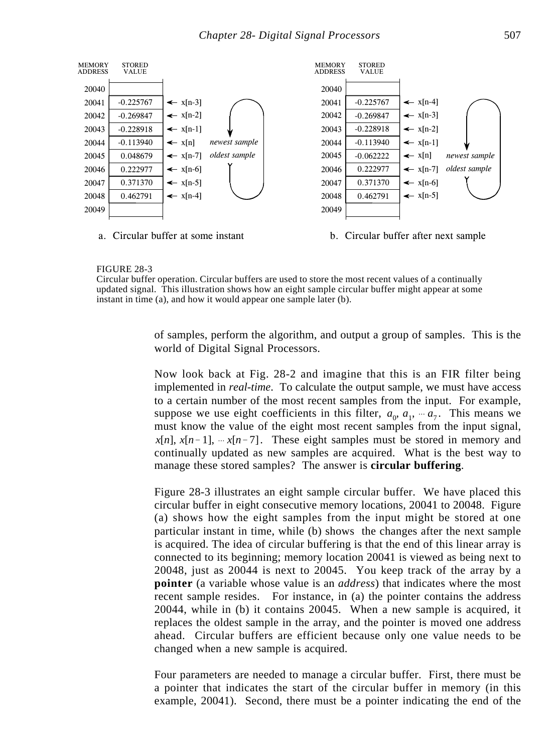

- 
- a. Circular buffer at some instant b. Circular buffer after next sample

#### FIGURE 28-3

Circular buffer operation. Circular buffers are used to store the most recent values of a continually updated signal. This illustration shows how an eight sample circular buffer might appear at some instant in time (a), and how it would appear one sample later (b).

> of samples, perform the algorithm, and output a group of samples. This is the world of Digital Signal Processors.

> Now look back at Fig. 28-2 and imagine that this is an FIR filter being implemented in *real-time*. To calculate the output sample, we must have access to a certain number of the most recent samples from the input. For example, suppose we use eight coefficients in this filter,  $a_0$ ,  $a_1$ ,  $\cdots$   $a_7$ . This means we must know the value of the eight most recent samples from the input signal,  $x[n], x[n-1], \dots, x[n-7]$ . These eight samples must be stored in memory and continually updated as new samples are acquired. What is the best way to manage these stored samples? The answer is **circular buffering**.

> Figure 28-3 illustrates an eight sample circular buffer. We have placed this circular buffer in eight consecutive memory locations, 20041 to 20048. Figure (a) shows how the eight samples from the input might be stored at one particular instant in time, while (b) shows the changes after the next sample is acquired. The idea of circular buffering is that the end of this linear array is connected to its beginning; memory location 20041 is viewed as being next to 20048, just as 20044 is next to 20045. You keep track of the array by a **pointer** (a variable whose value is an *address*) that indicates where the most recent sample resides. For instance, in (a) the pointer contains the address 20044, while in (b) it contains 20045. When a new sample is acquired, it replaces the oldest sample in the array, and the pointer is moved one address ahead. Circular buffers are efficient because only one value needs to be changed when a new sample is acquired.

> Four parameters are needed to manage a circular buffer. First, there must be a pointer that indicates the start of the circular buffer in memory (in this example, 20041). Second, there must be a pointer indicating the end of the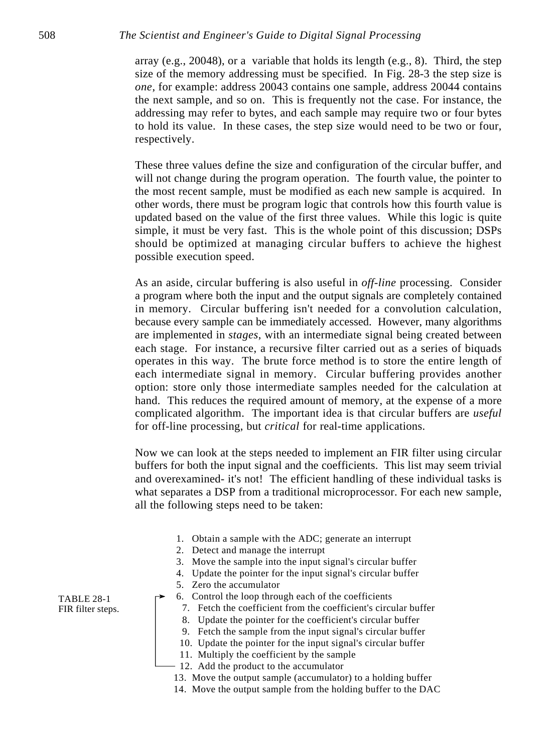array (e.g.,  $20048$ ), or a variable that holds its length (e.g., 8). Third, the step size of the memory addressing must be specified. In Fig. 28-3 the step size is *one*, for example: address 20043 contains one sample, address 20044 contains the next sample, and so on. This is frequently not the case. For instance, the addressing may refer to bytes, and each sample may require two or four bytes to hold its value. In these cases, the step size would need to be two or four, respectively.

These three values define the size and configuration of the circular buffer, and will not change during the program operation. The fourth value, the pointer to the most recent sample, must be modified as each new sample is acquired. In other words, there must be program logic that controls how this fourth value is updated based on the value of the first three values. While this logic is quite simple, it must be very fast. This is the whole point of this discussion; DSPs should be optimized at managing circular buffers to achieve the highest possible execution speed.

As an aside, circular buffering is also useful in *off-line* processing. Consider a program where both the input and the output signals are completely contained in memory. Circular buffering isn't needed for a convolution calculation, because every sample can be immediately accessed. However, many algorithms are implemented in *stages*, with an intermediate signal being created between each stage. For instance, a recursive filter carried out as a series of biquads operates in this way. The brute force method is to store the entire length of each intermediate signal in memory. Circular buffering provides another option: store only those intermediate samples needed for the calculation at hand. This reduces the required amount of memory, at the expense of a more complicated algorithm. The important idea is that circular buffers are *useful* for off-line processing, but *critical* for real-time applications.

Now we can look at the steps needed to implement an FIR filter using circular buffers for both the input signal and the coefficients. This list may seem trivial and overexamined- it's not! The efficient handling of these individual tasks is what separates a DSP from a traditional microprocessor. For each new sample, all the following steps need to be taken:

- 1. Obtain a sample with the ADC; generate an interrupt
- 2. Detect and manage the interrupt
- 3. Move the sample into the input signal's circular buffer
- 4. Update the pointer for the input signal's circular buffer
- 5. Zero the accumulator
- 6. Control the loop through each of the coefficients

7. Fetch the coefficient from the coefficient's circular buffer

- 8. Update the pointer for the coefficient's circular buffer
- 9. Fetch the sample from the input signal's circular buffer
- 10. Update the pointer for the input signal's circular buffer
- 11. Multiply the coefficient by the sample
- 12. Add the product to the accumulator
- 13. Move the output sample (accumulator) to a holding buffer
- 14. Move the output sample from the holding buffer to the DAC

TABLE 28-1 FIR filter steps.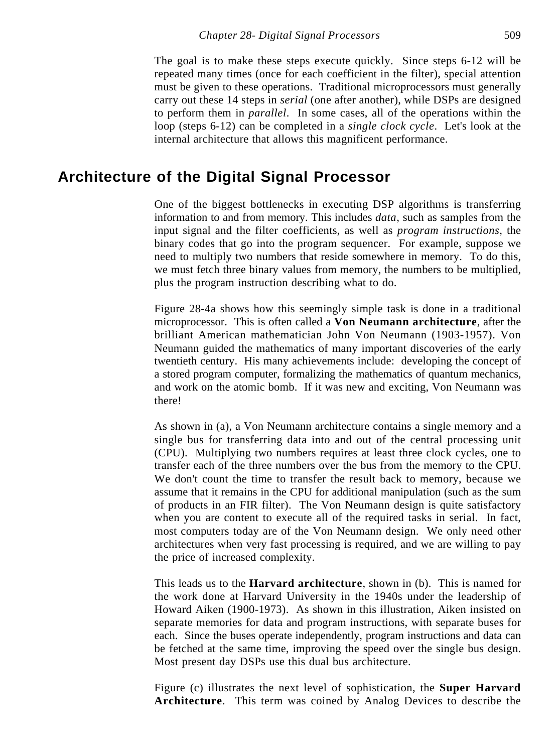The goal is to make these steps execute quickly. Since steps 6-12 will be repeated many times (once for each coefficient in the filter), special attention must be given to these operations. Traditional microprocessors must generally carry out these 14 steps in *serial* (one after another), while DSPs are designed to perform them in *parallel*. In some cases, all of the operations within the loop (steps 6-12) can be completed in a *single clock cycle*. Let's look at the internal architecture that allows this magnificent performance.

### **Architecture of the Digital Signal Processor**

One of the biggest bottlenecks in executing DSP algorithms is transferring information to and from memory. This includes *data*, such as samples from the input signal and the filter coefficients, as well as *program instructions*, the binary codes that go into the program sequencer. For example, suppose we need to multiply two numbers that reside somewhere in memory. To do this, we must fetch three binary values from memory, the numbers to be multiplied, plus the program instruction describing what to do.

Figure 28-4a shows how this seemingly simple task is done in a traditional microprocessor. This is often called a **Von Neumann architecture**, after the brilliant American mathematician John Von Neumann (1903-1957). Von Neumann guided the mathematics of many important discoveries of the early twentieth century. His many achievements include: developing the concept of a stored program computer, formalizing the mathematics of quantum mechanics, and work on the atomic bomb. If it was new and exciting, Von Neumann was there!

As shown in (a), a Von Neumann architecture contains a single memory and a single bus for transferring data into and out of the central processing unit (CPU). Multiplying two numbers requires at least three clock cycles, one to transfer each of the three numbers over the bus from the memory to the CPU. We don't count the time to transfer the result back to memory, because we assume that it remains in the CPU for additional manipulation (such as the sum of products in an FIR filter). The Von Neumann design is quite satisfactory when you are content to execute all of the required tasks in serial. In fact, most computers today are of the Von Neumann design. We only need other architectures when very fast processing is required, and we are willing to pay the price of increased complexity.

This leads us to the **Harvard architecture**, shown in (b). This is named for the work done at Harvard University in the 1940s under the leadership of Howard Aiken (1900-1973). As shown in this illustration, Aiken insisted on separate memories for data and program instructions, with separate buses for each. Since the buses operate independently, program instructions and data can be fetched at the same time, improving the speed over the single bus design. Most present day DSPs use this dual bus architecture.

Figure (c) illustrates the next level of sophistication, the **Super Harvard Architecture**. This term was coined by Analog Devices to describe the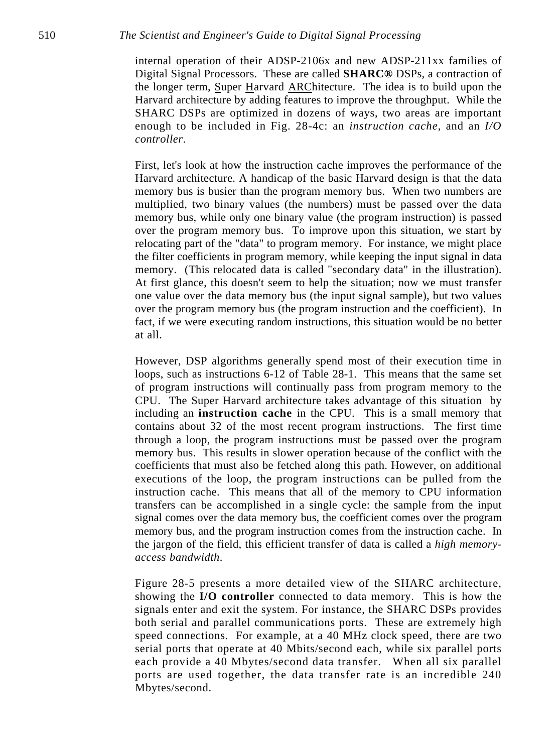internal operation of their ADSP-2106x and new ADSP-211xx families of Digital Signal Processors. These are called **SHARC®** DSPs, a contraction of the longer term, Super Harvard ARChitecture. The idea is to build upon the Harvard architecture by adding features to improve the throughput. While the SHARC DSPs are optimized in dozens of ways, two areas are important enough to be included in Fig. 28-4c: an *instruction cache*, and an *I/O controller*.

First, let's look at how the instruction cache improves the performance of the Harvard architecture. A handicap of the basic Harvard design is that the data memory bus is busier than the program memory bus. When two numbers are multiplied, two binary values (the numbers) must be passed over the data memory bus, while only one binary value (the program instruction) is passed over the program memory bus. To improve upon this situation, we start by relocating part of the "data" to program memory. For instance, we might place the filter coefficients in program memory, while keeping the input signal in data memory. (This relocated data is called "secondary data" in the illustration). At first glance, this doesn't seem to help the situation; now we must transfer one value over the data memory bus (the input signal sample), but two values over the program memory bus (the program instruction and the coefficient). In fact, if we were executing random instructions, this situation would be no better at all.

However, DSP algorithms generally spend most of their execution time in loops, such as instructions 6-12 of Table 28-1. This means that the same set of program instructions will continually pass from program memory to the CPU. The Super Harvard architecture takes advantage of this situation by including an **instruction cache** in the CPU. This is a small memory that contains about 32 of the most recent program instructions. The first time through a loop, the program instructions must be passed over the program memory bus. This results in slower operation because of the conflict with the coefficients that must also be fetched along this path. However, on additional executions of the loop, the program instructions can be pulled from the instruction cache. This means that all of the memory to CPU information transfers can be accomplished in a single cycle: the sample from the input signal comes over the data memory bus, the coefficient comes over the program memory bus, and the program instruction comes from the instruction cache. In the jargon of the field, this efficient transfer of data is called a *high memoryaccess bandwidth*.

Figure 28-5 presents a more detailed view of the SHARC architecture, showing the **I/O controller** connected to data memory. This is how the signals enter and exit the system. For instance, the SHARC DSPs provides both serial and parallel communications ports. These are extremely high speed connections. For example, at a 40 MHz clock speed, there are two serial ports that operate at 40 Mbits/second each, while six parallel ports each provide a 40 Mbytes/second data transfer. When all six parallel ports are used together, the data transfer rate is an incredible 240 Mbytes/second.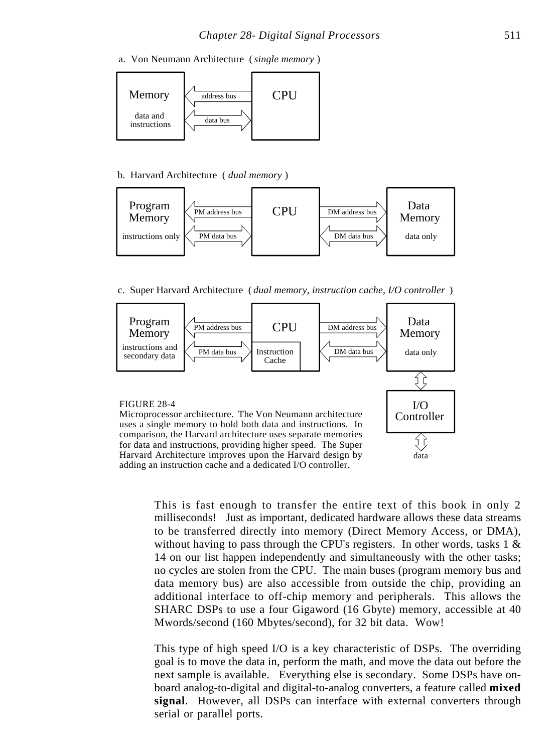a. Von Neumann Architecture (single memory)



#### b. Harvard Architecture (dual memory)



c. Super Harvard Architecture (dual memory, instruction cache, I/O controller)



This is fast enough to transfer the entire text of this book in only 2 milliseconds! Just as important, dedicated hardware allows these data streams to be transferred directly into memory (Direct Memory Access, or DMA), without having to pass through the CPU's registers. In other words, tasks  $1 \&$ 14 on our list happen independently and simultaneously with the other tasks; no cycles are stolen from the CPU. The main buses (program memory bus and data memory bus) are also accessible from outside the chip, providing an additional interface to off-chip memory and peripherals. This allows the SHARC DSPs to use a four Gigaword (16 Gbyte) memory, accessible at 40 Mwords/second (160 Mbytes/second), for 32 bit data. Wow!

This type of high speed I/O is a key characteristic of DSPs. The overriding goal is to move the data in, perform the math, and move the data out before the next sample is available. Everything else is secondary. Some DSPs have onboard analog-to-digital and digital-to-analog converters, a feature called **mixed signal**. However, all DSPs can interface with external converters through serial or parallel ports.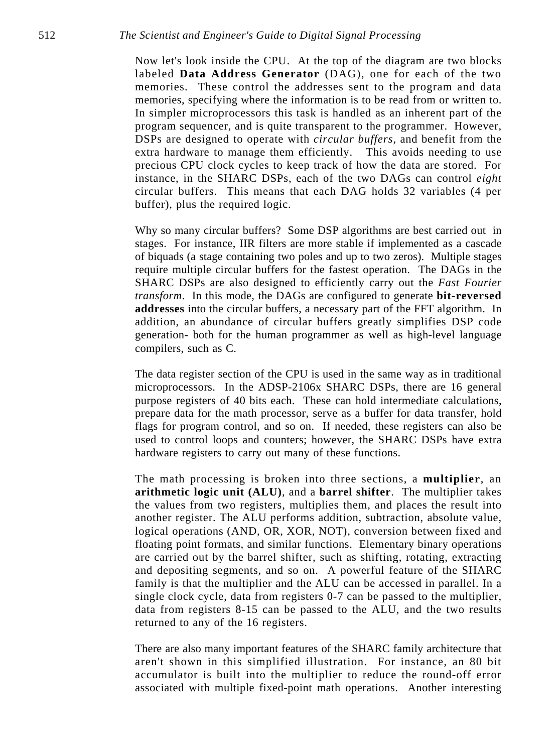Now let's look inside the CPU. At the top of the diagram are two blocks labeled **Data Address Generator** (DAG), one for each of the two memories. These control the addresses sent to the program and data memories, specifying where the information is to be read from or written to. In simpler microprocessors this task is handled as an inherent part of the program sequencer, and is quite transparent to the programmer. However, DSPs are designed to operate with *circular buffers*, and benefit from the extra hardware to manage them efficiently. This avoids needing to use precious CPU clock cycles to keep track of how the data are stored. For instance, in the SHARC DSPs, each of the two DAGs can control *eight* circular buffers. This means that each DAG holds 32 variables (4 per buffer), plus the required logic.

Why so many circular buffers? Some DSP algorithms are best carried out in stages. For instance, IIR filters are more stable if implemented as a cascade of biquads (a stage containing two poles and up to two zeros). Multiple stages require multiple circular buffers for the fastest operation. The DAGs in the SHARC DSPs are also designed to efficiently carry out the *Fast Fourier transform*. In this mode, the DAGs are configured to generate **bit-reversed addresses** into the circular buffers, a necessary part of the FFT algorithm. In addition, an abundance of circular buffers greatly simplifies DSP code generation- both for the human programmer as well as high-level language compilers, such as C.

The data register section of the CPU is used in the same way as in traditional microprocessors. In the ADSP-2106x SHARC DSPs, there are 16 general purpose registers of 40 bits each. These can hold intermediate calculations, prepare data for the math processor, serve as a buffer for data transfer, hold flags for program control, and so on. If needed, these registers can also be used to control loops and counters; however, the SHARC DSPs have extra hardware registers to carry out many of these functions.

The math processing is broken into three sections, a **multiplier**, an **arithmetic logic unit (ALU)**, and a **barrel shifter**. The multiplier takes the values from two registers, multiplies them, and places the result into another register. The ALU performs addition, subtraction, absolute value, logical operations (AND, OR, XOR, NOT), conversion between fixed and floating point formats, and similar functions. Elementary binary operations are carried out by the barrel shifter, such as shifting, rotating, extracting and depositing segments, and so on. A powerful feature of the SHARC family is that the multiplier and the ALU can be accessed in parallel. In a single clock cycle, data from registers 0-7 can be passed to the multiplier, data from registers 8-15 can be passed to the ALU, and the two results returned to any of the 16 registers.

There are also many important features of the SHARC family architecture that aren't shown in this simplified illustration. For instance, an 80 bit accumulator is built into the multiplier to reduce the round-off error associated with multiple fixed-point math operations. Another interesting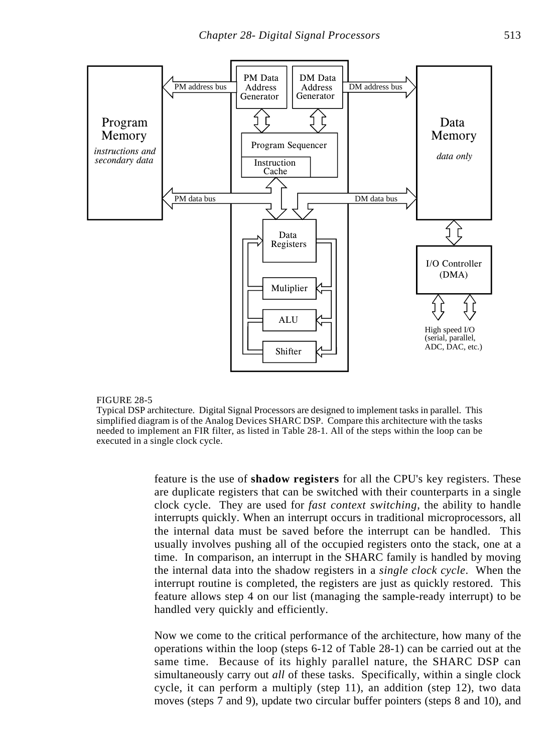

#### FIGURE 28-5

Typical DSP architecture. Digital Signal Processors are designed to implement tasks in parallel. This simplified diagram is of the Analog Devices SHARC DSP. Compare this architecture with the tasks needed to implement an FIR filter, as listed in Table 28-1. All of the steps within the loop can be executed in a single clock cycle.

> feature is the use of **shadow registers** for all the CPU's key registers. These are duplicate registers that can be switched with their counterparts in a single clock cycle. They are used for *fast context switching*, the ability to handle interrupts quickly. When an interrupt occurs in traditional microprocessors, all the internal data must be saved before the interrupt can be handled. This usually involves pushing all of the occupied registers onto the stack, one at a time. In comparison, an interrupt in the SHARC family is handled by moving the internal data into the shadow registers in a *single clock cycle*. When the interrupt routine is completed, the registers are just as quickly restored. This feature allows step 4 on our list (managing the sample-ready interrupt) to be handled very quickly and efficiently.

> Now we come to the critical performance of the architecture, how many of the operations within the loop (steps 6-12 of Table 28-1) can be carried out at the same time. Because of its highly parallel nature, the SHARC DSP can simultaneously carry out *all* of these tasks. Specifically, within a single clock cycle, it can perform a multiply (step 11), an addition (step 12), two data moves (steps 7 and 9), update two circular buffer pointers (steps 8 and 10), and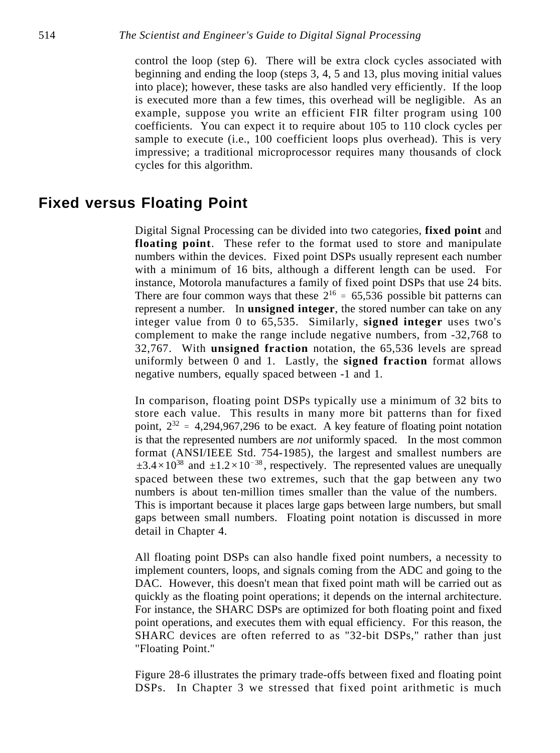control the loop (step 6). There will be extra clock cycles associated with beginning and ending the loop (steps 3, 4, 5 and 13, plus moving initial values into place); however, these tasks are also handled very efficiently. If the loop is executed more than a few times, this overhead will be negligible. As an example, suppose you write an efficient FIR filter program using 100 coefficients. You can expect it to require about 105 to 110 clock cycles per sample to execute (i.e., 100 coefficient loops plus overhead). This is very impressive; a traditional microprocessor requires many thousands of clock cycles for this algorithm.

### **Fixed versus Floating Point**

Digital Signal Processing can be divided into two categories, **fixed point** and **floating point**. These refer to the format used to store and manipulate numbers within the devices. Fixed point DSPs usually represent each number with a minimum of 16 bits, although a different length can be used. For instance, Motorola manufactures a family of fixed point DSPs that use 24 bits. There are four common ways that these  $2^{16} = 65,536$  possible bit patterns can represent a number. In **unsigned integer**, the stored number can take on any integer value from 0 to 65,535. Similarly, **signed integer** uses two's complement to make the range include negative numbers, from -32,768 to 32,767. With **unsigned fraction** notation, the 65,536 levels are spread uniformly between 0 and 1. Lastly, the **signed fraction** format allows negative numbers, equally spaced between -1 and 1.

In comparison, floating point DSPs typically use a minimum of 32 bits to store each value. This results in many more bit patterns than for fixed point,  $2^{32} = 4,294,967,296$  to be exact. A key feature of floating point notation is that the represented numbers are *not* uniformly spaced. In the most common format (ANSI/IEEE Std. 754-1985), the largest and smallest numbers are  $\pm 3.4 \times 10^{38}$  and  $\pm 1.2 \times 10^{-38}$ , respectively. The represented values are unequally spaced between these two extremes, such that the gap between any two numbers is about ten-million times smaller than the value of the numbers. This is important because it places large gaps between large numbers, but small gaps between small numbers. Floating point notation is discussed in more detail in Chapter 4.

All floating point DSPs can also handle fixed point numbers, a necessity to implement counters, loops, and signals coming from the ADC and going to the DAC. However, this doesn't mean that fixed point math will be carried out as quickly as the floating point operations; it depends on the internal architecture. For instance, the SHARC DSPs are optimized for both floating point and fixed point operations, and executes them with equal efficiency. For this reason, the SHARC devices are often referred to as "32-bit DSPs," rather than just "Floating Point."

Figure 28-6 illustrates the primary trade-offs between fixed and floating point DSPs. In Chapter 3 we stressed that fixed point arithmetic is much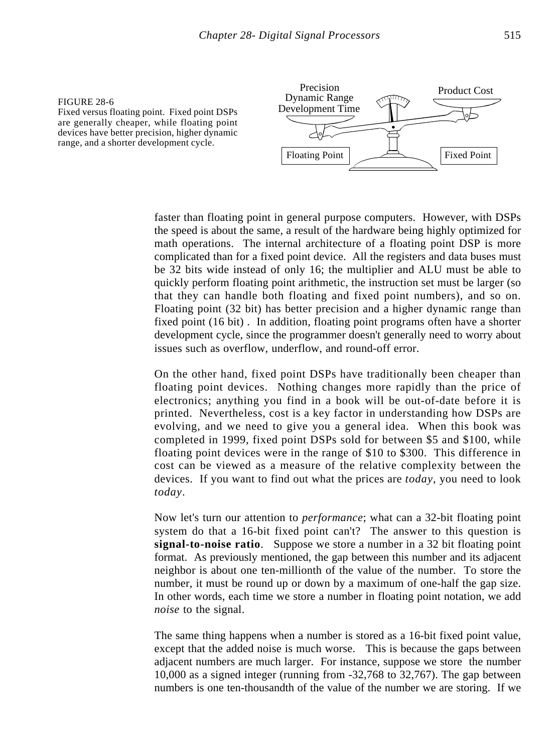Fixed versus floating point. Fixed point DSPs are generally cheaper, while floating point devices have better precision, higher dynamic range, and a shorter development cycle.



faster than floating point in general purpose computers. However, with DSPs the speed is about the same, a result of the hardware being highly optimized for math operations. The internal architecture of a floating point DSP is more complicated than for a fixed point device. All the registers and data buses must be 32 bits wide instead of only 16; the multiplier and ALU must be able to quickly perform floating point arithmetic, the instruction set must be larger (so that they can handle both floating and fixed point numbers), and so on. Floating point (32 bit) has better precision and a higher dynamic range than fixed point (16 bit) . In addition, floating point programs often have a shorter development cycle, since the programmer doesn't generally need to worry about issues such as overflow, underflow, and round-off error.

On the other hand, fixed point DSPs have traditionally been cheaper than floating point devices. Nothing changes more rapidly than the price of electronics; anything you find in a book will be out-of-date before it is printed. Nevertheless, cost is a key factor in understanding how DSPs are evolving, and we need to give you a general idea. When this book was completed in 1999, fixed point DSPs sold for between \$5 and \$100, while floating point devices were in the range of \$10 to \$300. This difference in cost can be viewed as a measure of the relative complexity between the devices. If you want to find out what the prices are *today*, you need to look *today*.

Now let's turn our attention to *performance*; what can a 32-bit floating point system do that a 16-bit fixed point can't? The answer to this question is **signal-to-noise ratio**. Suppose we store a number in a 32 bit floating point format. As previously mentioned, the gap between this number and its adjacent neighbor is about one ten-millionth of the value of the number. To store the number, it must be round up or down by a maximum of one-half the gap size. In other words, each time we store a number in floating point notation, we add *noise* to the signal.

The same thing happens when a number is stored as a 16-bit fixed point value, except that the added noise is much worse. This is because the gaps between adjacent numbers are much larger. For instance, suppose we store the number 10,000 as a signed integer (running from -32,768 to 32,767). The gap between numbers is one ten-thousandth of the value of the number we are storing. If we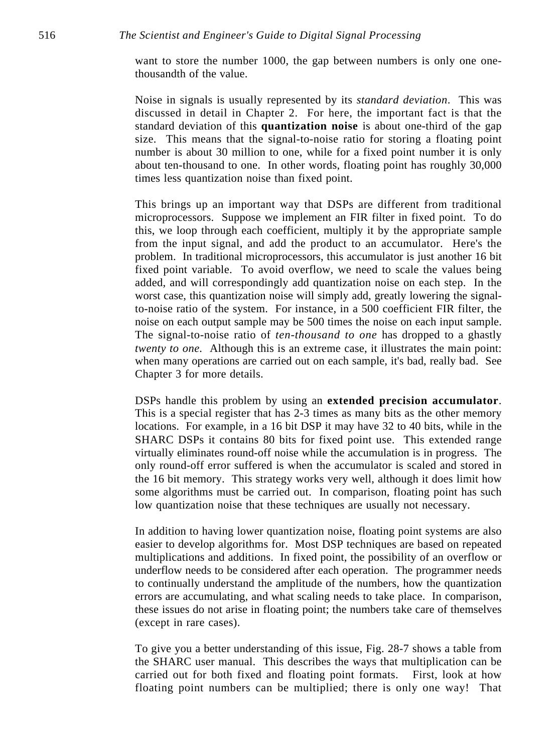want to store the number 1000, the gap between numbers is only one onethousandth of the value.

Noise in signals is usually represented by its *standard deviation*. This was discussed in detail in Chapter 2. For here, the important fact is that the standard deviation of this **quantization noise** is about one-third of the gap size. This means that the signal-to-noise ratio for storing a floating point number is about 30 million to one, while for a fixed point number it is only about ten-thousand to one. In other words, floating point has roughly 30,000 times less quantization noise than fixed point.

This brings up an important way that DSPs are different from traditional microprocessors. Suppose we implement an FIR filter in fixed point. To do this, we loop through each coefficient, multiply it by the appropriate sample from the input signal, and add the product to an accumulator. Here's the problem. In traditional microprocessors, this accumulator is just another 16 bit fixed point variable. To avoid overflow, we need to scale the values being added, and will correspondingly add quantization noise on each step. In the worst case, this quantization noise will simply add, greatly lowering the signalto-noise ratio of the system. For instance, in a 500 coefficient FIR filter, the noise on each output sample may be 500 times the noise on each input sample. The signal-to-noise ratio of *ten-thousand to one* has dropped to a ghastly *twenty to one.* Although this is an extreme case, it illustrates the main point: when many operations are carried out on each sample, it's bad, really bad. See Chapter 3 for more details.

DSPs handle this problem by using an **extended precision accumulator**. This is a special register that has 2-3 times as many bits as the other memory locations. For example, in a 16 bit DSP it may have 32 to 40 bits, while in the SHARC DSPs it contains 80 bits for fixed point use. This extended range virtually eliminates round-off noise while the accumulation is in progress. The only round-off error suffered is when the accumulator is scaled and stored in the 16 bit memory. This strategy works very well, although it does limit how some algorithms must be carried out. In comparison, floating point has such low quantization noise that these techniques are usually not necessary.

In addition to having lower quantization noise, floating point systems are also easier to develop algorithms for. Most DSP techniques are based on repeated multiplications and additions. In fixed point, the possibility of an overflow or underflow needs to be considered after each operation. The programmer needs to continually understand the amplitude of the numbers, how the quantization errors are accumulating, and what scaling needs to take place. In comparison, these issues do not arise in floating point; the numbers take care of themselves (except in rare cases).

To give you a better understanding of this issue, Fig. 28-7 shows a table from the SHARC user manual. This describes the ways that multiplication can be carried out for both fixed and floating point formats. First, look at how floating point numbers can be multiplied; there is only one way! That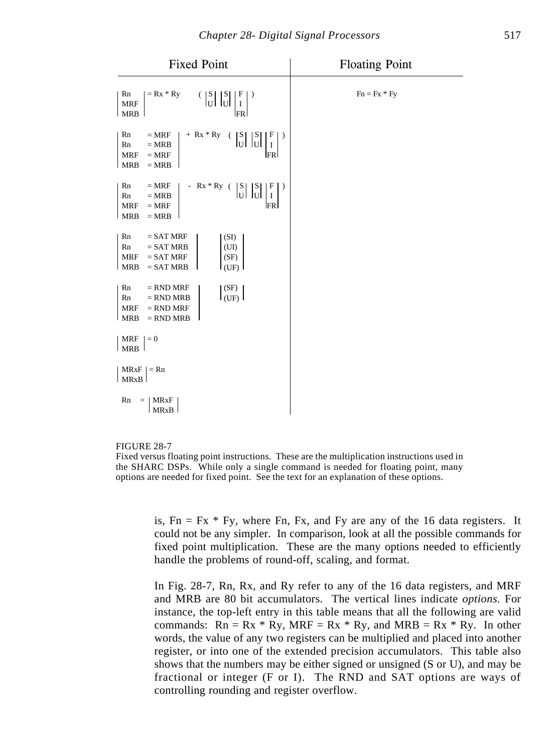| <b>Fixed Point</b>                                                                                                                                                                                                                                  | <b>Floating Point</b> |
|-----------------------------------------------------------------------------------------------------------------------------------------------------------------------------------------------------------------------------------------------------|-----------------------|
| $= Rx * Ry$<br>Rn<br>$\begin{bmatrix} S \\ U \end{bmatrix} \begin{bmatrix} S \\ U \end{bmatrix}$<br>۲<br>$\vert$ I<br><b>MRF</b><br><b>MRB</b><br><b>FR</b>                                                                                         | $Fn = Fx * Fy$        |
| Rn<br>$= MRF$<br>$+ Rx * Ry$<br>F<br>$\begin{bmatrix} S \\ U \end{bmatrix} \begin{bmatrix} S \\ U \end{bmatrix}$<br>$\overline{\phantom{a}}$<br>$\vert$ )<br>$\;$ I<br>Rn<br>$= MRB$<br><b>FR</b><br><b>MRF</b><br>$= MRF$<br><b>MRB</b><br>$= MRB$ |                       |
| Rn<br>$= MRF$<br>$Rx * Ry$ (<br>$\begin{bmatrix} S \\ U \end{bmatrix}$<br> S <br>F<br>$ _{U}$<br>$\;$ I<br>Rn<br>$= MRB$<br><b>MRF</b><br><b>FR</b><br>$= MRF$<br><b>MRB</b><br>$= MRB$                                                             |                       |
| Rn<br>$=$ SAT MRF<br>(SI)<br>Rn<br>$=$ SAT MRB<br>(UI)<br><b>MRF</b><br>$=$ SAT MRF<br>(SF)<br><b>MRB</b><br>$=$ SAT MRB<br>(UF)                                                                                                                    |                       |
| Rn<br>$=$ RND MRF<br>$\frac{\text{(SF)}}{\text{(UF)}}$<br>Rn<br>$=$ RND MRB<br><b>MRF</b><br>$=$ RND MRF<br><b>MRB</b><br>$=$ RND MRB                                                                                                               |                       |
| MRF<br>$= 0$<br><b>MRB</b>                                                                                                                                                                                                                          |                       |
| $MRxF = Rn$<br><b>MRxB</b>                                                                                                                                                                                                                          |                       |
| <b>MRxF</b><br>Rn<br>$\equiv$<br>MR <sub>x</sub> B                                                                                                                                                                                                  |                       |

#### FIGURE 28-7

Fixed versus floating point instructions. These are the multiplication instructions used in the SHARC DSPs. While only a single command is needed for floating point, many options are needed for fixed point. See the text for an explanation of these options.

is,  $Fn = Fx * Fy$ , where  $Fn$ ,  $Fx$ , and  $Fy$  are any of the 16 data registers. It could not be any simpler. In comparison, look at all the possible commands for fixed point multiplication. These are the many options needed to efficiently handle the problems of round-off, scaling, and format.

In Fig. 28-7, Rn, Rx, and Ry refer to any of the 16 data registers, and MRF and MRB are 80 bit accumulators. The vertical lines indicate *options.* For instance, the top-left entry in this table means that all the following are valid commands:  $Rn = Rx * Ry$ ,  $MRF = Rx * Ry$ , and  $MRB = Rx * Ry$ . In other words, the value of any two registers can be multiplied and placed into another register, or into one of the extended precision accumulators. This table also shows that the numbers may be either signed or unsigned (S or U), and may be fractional or integer (F or I). The RND and SAT options are ways of controlling rounding and register overflow.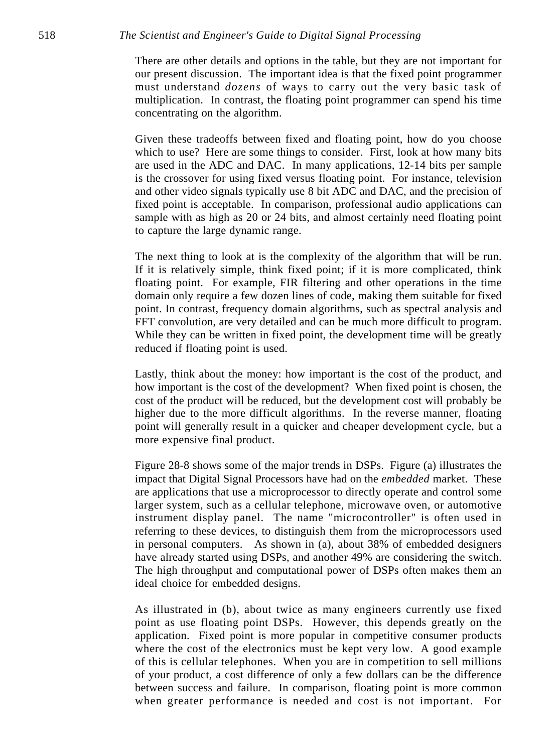#### 518 *The Scientist and Engineer's Guide to Digital Signal Processing*

There are other details and options in the table, but they are not important for our present discussion. The important idea is that the fixed point programmer must understand *dozens* of ways to carry out the very basic task of multiplication. In contrast, the floating point programmer can spend his time concentrating on the algorithm.

Given these tradeoffs between fixed and floating point, how do you choose which to use? Here are some things to consider. First, look at how many bits are used in the ADC and DAC. In many applications, 12-14 bits per sample is the crossover for using fixed versus floating point. For instance, television and other video signals typically use 8 bit ADC and DAC, and the precision of fixed point is acceptable. In comparison, professional audio applications can sample with as high as 20 or 24 bits, and almost certainly need floating point to capture the large dynamic range.

The next thing to look at is the complexity of the algorithm that will be run. If it is relatively simple, think fixed point; if it is more complicated, think floating point. For example, FIR filtering and other operations in the time domain only require a few dozen lines of code, making them suitable for fixed point. In contrast, frequency domain algorithms, such as spectral analysis and FFT convolution, are very detailed and can be much more difficult to program. While they can be written in fixed point, the development time will be greatly reduced if floating point is used.

Lastly, think about the money: how important is the cost of the product, and how important is the cost of the development? When fixed point is chosen, the cost of the product will be reduced, but the development cost will probably be higher due to the more difficult algorithms. In the reverse manner, floating point will generally result in a quicker and cheaper development cycle, but a more expensive final product.

Figure 28-8 shows some of the major trends in DSPs. Figure (a) illustrates the impact that Digital Signal Processors have had on the *embedded* market. These are applications that use a microprocessor to directly operate and control some larger system, such as a cellular telephone, microwave oven, or automotive instrument display panel. The name "microcontroller" is often used in referring to these devices, to distinguish them from the microprocessors used in personal computers. As shown in (a), about 38% of embedded designers have already started using DSPs, and another 49% are considering the switch. The high throughput and computational power of DSPs often makes them an ideal choice for embedded designs.

As illustrated in (b), about twice as many engineers currently use fixed point as use floating point DSPs. However, this depends greatly on the application. Fixed point is more popular in competitive consumer products where the cost of the electronics must be kept very low. A good example of this is cellular telephones. When you are in competition to sell millions of your product, a cost difference of only a few dollars can be the difference between success and failure. In comparison, floating point is more common when greater performance is needed and cost is not important. For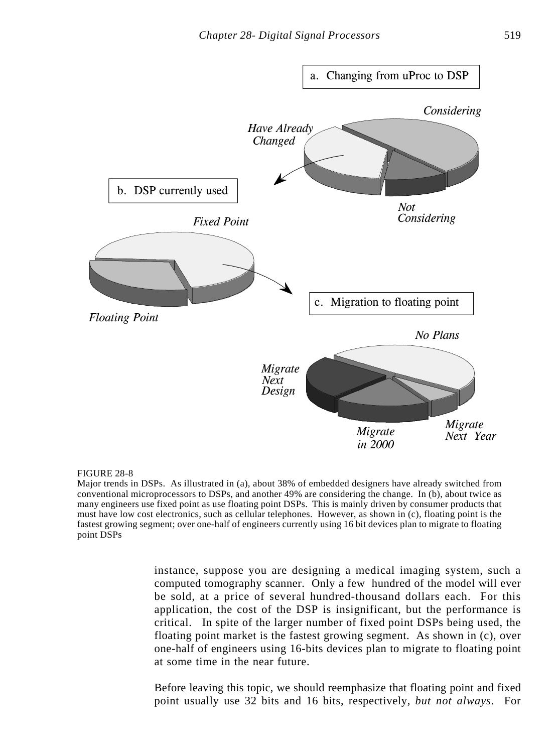

#### FIGURE 28-8

Major trends in DSPs. As illustrated in (a), about 38% of embedded designers have already switched from conventional microprocessors to DSPs, and another 49% are considering the change. In (b), about twice as many engineers use fixed point as use floating point DSPs. This is mainly driven by consumer products that must have low cost electronics, such as cellular telephones. However, as shown in (c), floating point is the fastest growing segment; over one-half of engineers currently using 16 bit devices plan to migrate to floating point DSPs

> instance, suppose you are designing a medical imaging system, such a computed tomography scanner. Only a few hundred of the model will ever be sold, at a price of several hundred-thousand dollars each. For this application, the cost of the DSP is insignificant, but the performance is critical. In spite of the larger number of fixed point DSPs being used, the floating point market is the fastest growing segment. As shown in (c), over one-half of engineers using 16-bits devices plan to migrate to floating point at some time in the near future.

> Before leaving this topic, we should reemphasize that floating point and fixed point usually use 32 bits and 16 bits, respectively, *but not always*. For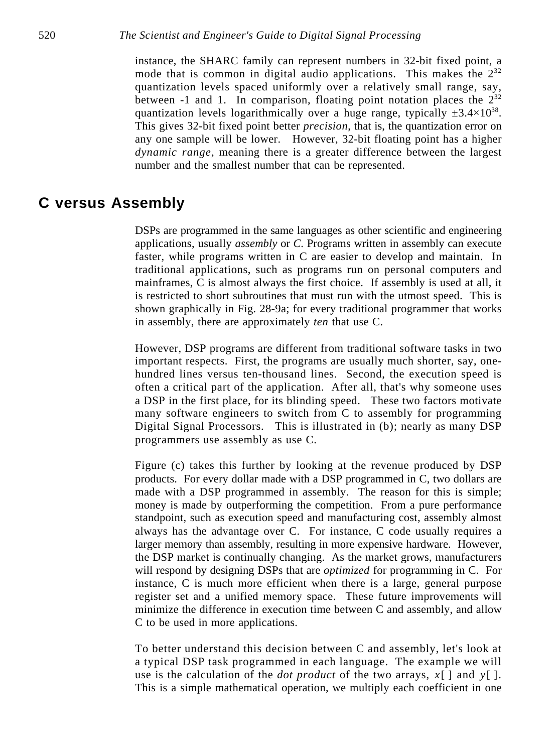instance, the SHARC family can represent numbers in 32-bit fixed point, a mode that is common in digital audio applications. This makes the  $2^{32}$ quantization levels spaced uniformly over a relatively small range, say, between -1 and 1. In comparison, floating point notation places the  $2^{32}$ quantization levels logarithmically over a huge range, typically  $\pm 3.4 \times 10^{38}$ . This gives 32-bit fixed point better *precision*, that is, the quantization error on any one sample will be lower. However, 32-bit floating point has a higher *dynamic range*, meaning there is a greater difference between the largest number and the smallest number that can be represented.

### **C versus Assembly**

DSPs are programmed in the same languages as other scientific and engineering applications, usually *assembly* or *C*. Programs written in assembly can execute faster, while programs written in C are easier to develop and maintain. In traditional applications, such as programs run on personal computers and mainframes, C is almost always the first choice. If assembly is used at all, it is restricted to short subroutines that must run with the utmost speed. This is shown graphically in Fig. 28-9a; for every traditional programmer that works in assembly, there are approximately *ten* that use C.

However, DSP programs are different from traditional software tasks in two important respects. First, the programs are usually much shorter, say, onehundred lines versus ten-thousand lines. Second, the execution speed is often a critical part of the application. After all, that's why someone uses a DSP in the first place, for its blinding speed. These two factors motivate many software engineers to switch from C to assembly for programming Digital Signal Processors. This is illustrated in (b); nearly as many DSP programmers use assembly as use C.

Figure (c) takes this further by looking at the revenue produced by DSP products. For every dollar made with a DSP programmed in C, two dollars are made with a DSP programmed in assembly. The reason for this is simple; money is made by outperforming the competition. From a pure performance standpoint, such as execution speed and manufacturing cost, assembly almost always has the advantage over C. For instance, C code usually requires a larger memory than assembly, resulting in more expensive hardware. However, the DSP market is continually changing. As the market grows, manufacturers will respond by designing DSPs that are *optimized* for programming in C. For instance, C is much more efficient when there is a large, general purpose register set and a unified memory space. These future improvements will minimize the difference in execution time between C and assembly, and allow C to be used in more applications.

To better understand this decision between C and assembly, let's look at a typical DSP task programmed in each language. The example we will use is the calculation of the *dot product* of the two arrays, *x* [ ] and *y* [ ]. This is a simple mathematical operation, we multiply each coefficient in one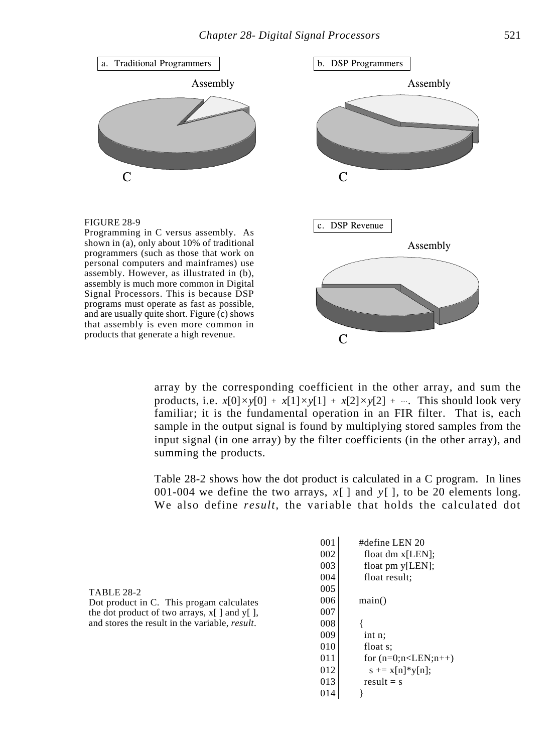

array by the corresponding coefficient in the other array, and sum the products, i.e.  $x[0] \times y[0] + x[1] \times y[1] + x[2] \times y[2] + \dots$ . This should look very familiar; it is the fundamental operation in an FIR filter. That is, each sample in the output signal is found by multiplying stored samples from the input signal (in one array) by the filter coefficients (in the other array), and summing the products.

Table 28-2 shows how the dot product is calculated in a C program. In lines 001-004 we define the two arrays,  $x \mid$  and  $y \mid$ , to be 20 elements long. We also define *result*, the variable that holds the calculated dot

|                                                                            | 001 | #define LEN 20  |
|----------------------------------------------------------------------------|-----|-----------------|
|                                                                            | 002 | float dm x[LEN] |
|                                                                            | 003 | float pm y[LEN] |
|                                                                            | 004 | float result;   |
| TABLE 28-2                                                                 | 005 |                 |
| Dot product in C. This progam calculates                                   | 006 | main()          |
| the dot product of two arrays, $x \in \mathbb{R}$ and $y \in \mathbb{R}$ , | 007 |                 |
| and stores the result in the variable, <i>result</i> .                     | 008 |                 |
|                                                                            | 009 | int n;          |
|                                                                            | 010 | float s:        |
|                                                                            | 011 | for $(n=0; n$   |
|                                                                            |     |                 |

| 002 | float dm x[LEN];  |
|-----|-------------------|
| 003 | float pm y[LEN];  |
| 004 | float result:     |
| 005 |                   |
| 006 | main()            |
| 007 |                   |
| 008 |                   |
| 009 | int n;            |
| 010 | float s:          |
| 011 | for $(n=0; n$     |
| 012 | $s == x[n]*y[n];$ |
| 013 | $result = s$      |
| 014 |                   |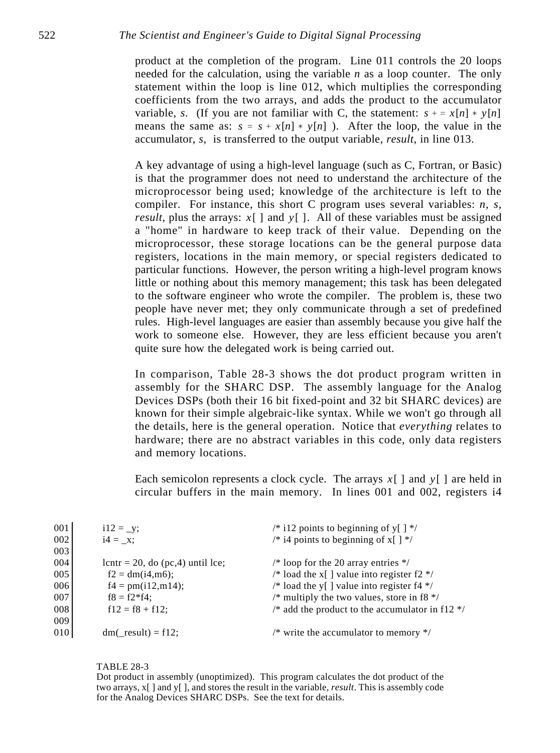product at the completion of the program. Line 011 controls the 20 loops needed for the calculation, using the variable *n* as a loop counter. The only statement within the loop is line 012, which multiplies the corresponding coefficients from the two arrays, and adds the product to the accumulator variable, *s*. (If you are not familiar with C, the statement:  $s + \frac{1}{2} \left[ n \right] \times \sqrt[n]{n}$ means the same as:  $s = s + x[n] * y[n]$ . After the loop, the value in the accumulator, *s*, is transferred to the output variable, *result*, in line 013.

A key advantage of using a high-level language (such as C, Fortran, or Basic) is that the programmer does not need to understand the architecture of the microprocessor being used; knowledge of the architecture is left to the compiler. For instance, this short C program uses several variables: *n*, *s*, *result*, plus the arrays:  $x \mid$  and  $y \mid$ . All of these variables must be assigned a "home" in hardware to keep track of their value. Depending on the microprocessor, these storage locations can be the general purpose data registers, locations in the main memory, or special registers dedicated to particular functions. However, the person writing a high-level program knows little or nothing about this memory management; this task has been delegated to the software engineer who wrote the compiler. The problem is, these two people have never met; they only communicate through a set of predefined rules. High-level languages are easier than assembly because you give half the work to someone else. However, they are less efficient because you aren't quite sure how the delegated work is being carried out.

In comparison, Table 28-3 shows the dot product program written in assembly for the SHARC DSP. The assembly language for the Analog Devices DSPs (both their 16 bit fixed-point and 32 bit SHARC devices) are known for their simple algebraic-like syntax. While we won't go through all the details, here is the general operation. Notice that *everything* relates to hardware; there are no abstract variables in this code, only data registers and memory locations.

Each semicolon represents a clock cycle. The arrays  $x \upharpoonright$  and  $y \upharpoonright$  are held in circular buffers in the main memory. In lines 001 and 002, registers i4

| 001 | $i12 = -y$ ;                         | /* i12 points to beginning of y[ $\mid$ */        |
|-----|--------------------------------------|---------------------------------------------------|
| 002 | $i4 = x$ ;                           | /* i4 points to beginning of $x$ [ ] */           |
| 003 |                                      |                                                   |
| 004 | $l$ cntr = 20, do (pc, 4) until lce; | /* loop for the 20 array entries $*/$             |
| 005 | $f2 = dm(i4, m6);$                   | /* load the x[] value into register f2 $*/$       |
| 006 | $f4 = pm(i12, m14);$                 | /* load the y[] value into register $f4$ */       |
| 007 | $f8 = f2*f4$ :                       | /* multiply the two values, store in f8 $*/$      |
| 008 | $f12 = f8 + f12$ ;                   | /* add the product to the accumulator in f12 $*/$ |
| 009 |                                      |                                                   |
| 010 | $dm$ result) = f12;                  | /* write the accumulator to memory $*/$           |
|     |                                      |                                                   |

#### TABLE 28-3

Dot product in assembly (unoptimized). This program calculates the dot product of the two arrays, x[ ] and y[ ], and stores the result in the variable, *result*. This is assembly code for the Analog Devices SHARC DSPs. See the text for details.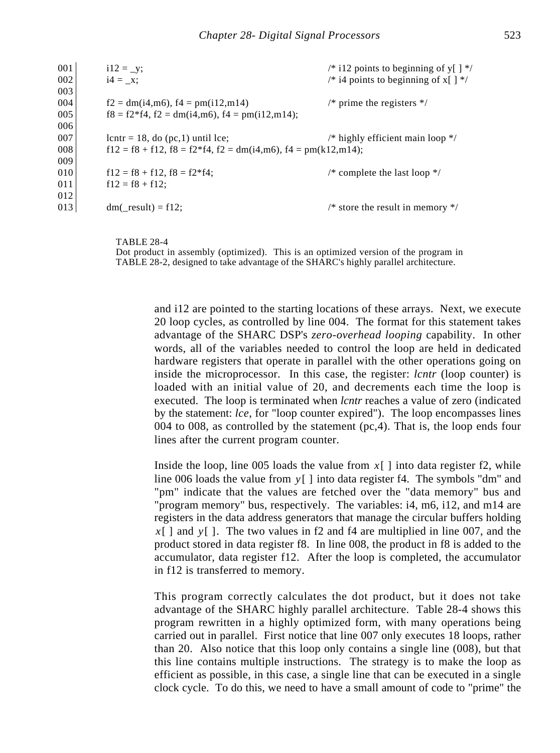| 001 | $i12 = -y$ ;                                                                | /* i12 points to beginning of y[ $\mid$ */                          |
|-----|-----------------------------------------------------------------------------|---------------------------------------------------------------------|
| 002 | $i4 = x$ ;                                                                  | /* i4 points to beginning of $x \upharpoonright \upharpoonright$ */ |
| 003 |                                                                             |                                                                     |
| 004 | $f2 = dm(i4,m6), f4 = pm(i12,m14)$                                          | /* prime the registers $*/$                                         |
| 005 | $f8 = f2*f4$ , $f2 = dm(i4, m6)$ , $f4 = pm(i12, m14)$ ;                    |                                                                     |
| 006 |                                                                             |                                                                     |
| 007 | $l$ cntr = 18, do (pc, 1) until lce;                                        | $\frac{*}{*}$ highly efficient main loop $\frac{*}{*}$              |
| 008 | $f12 = f8 + f12$ , $f8 = f2*f4$ , $f2 = dm(i4, m6)$ , $f4 = pm(k12, m14)$ ; |                                                                     |
| 009 |                                                                             |                                                                     |
| 010 | $f12 = f8 + f12$ , $f8 = f2*f4$ ;                                           | /* complete the last loop $\frac{*}{ }$                             |
| 011 | $f12 = f8 + f12$ :                                                          |                                                                     |
| 012 |                                                                             |                                                                     |
| 013 | $dm$ result) = f12;                                                         | /* store the result in memory $*/$                                  |
|     |                                                                             |                                                                     |

TABLE 28-4

Dot product in assembly (optimized). This is an optimized version of the program in TABLE 28-2, designed to take advantage of the SHARC's highly parallel architecture.

> and i12 are pointed to the starting locations of these arrays. Next, we execute 20 loop cycles, as controlled by line 004. The format for this statement takes advantage of the SHARC DSP's *zero-overhead looping* capability. In other words, all of the variables needed to control the loop are held in dedicated hardware registers that operate in parallel with the other operations going on inside the microprocessor. In this case, the register: *lcntr* (loop counter) is loaded with an initial value of 20, and decrements each time the loop is executed. The loop is terminated when *lcntr* reaches a value of zero (indicated by the statement: *lce*, for "loop counter expired"). The loop encompasses lines 004 to 008, as controlled by the statement (pc,4). That is, the loop ends four lines after the current program counter.

> Inside the loop, line 005 loads the value from  $x \upharpoonright$  into data register f2, while line 006 loads the value from y[] into data register f4. The symbols "dm" and "pm" indicate that the values are fetched over the "data memory" bus and "program memory" bus, respectively. The variables: i4, m6, i12, and m14 are registers in the data address generators that manage the circular buffers holding  $x$ [ ] and  $y$ [ ]. The two values in f2 and f4 are multiplied in line 007, and the product stored in data register f8. In line 008, the product in f8 is added to the accumulator, data register f12. After the loop is completed, the accumulator in f12 is transferred to memory.

> This program correctly calculates the dot product, but it does not take advantage of the SHARC highly parallel architecture. Table 28-4 shows this program rewritten in a highly optimized form, with many operations being carried out in parallel. First notice that line 007 only executes 18 loops, rather than 20. Also notice that this loop only contains a single line (008), but that this line contains multiple instructions. The strategy is to make the loop as efficient as possible, in this case, a single line that can be executed in a single clock cycle. To do this, we need to have a small amount of code to "prime" the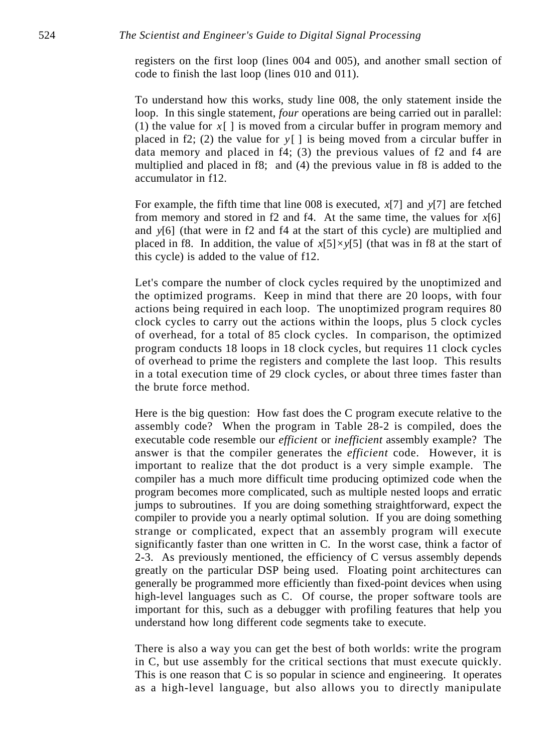registers on the first loop (lines 004 and 005), and another small section of code to finish the last loop (lines 010 and 011).

To understand how this works, study line 008, the only statement inside the loop. In this single statement, *four* operations are being carried out in parallel: (1) the value for *x* [ ] is moved from a circular buffer in program memory and placed in f2; (2) the value for *y* [ ] is being moved from a circular buffer in data memory and placed in f4; (3) the previous values of f2 and f4 are multiplied and placed in f8; and (4) the previous value in f8 is added to the accumulator in f12.

For example, the fifth time that line 008 is executed, *x*[7] and *y*[7] are fetched from memory and stored in f2 and f4. At the same time, the values for *x*[6] and *y*[6] (that were in f2 and f4 at the start of this cycle) are multiplied and placed in f8. In addition, the value of  $x[5]\times y[5]$  (that was in f8 at the start of this cycle) is added to the value of f12.

Let's compare the number of clock cycles required by the unoptimized and the optimized programs. Keep in mind that there are 20 loops, with four actions being required in each loop. The unoptimized program requires 80 clock cycles to carry out the actions within the loops, plus 5 clock cycles of overhead, for a total of 85 clock cycles. In comparison, the optimized program conducts 18 loops in 18 clock cycles, but requires 11 clock cycles of overhead to prime the registers and complete the last loop. This results in a total execution time of 29 clock cycles, or about three times faster than the brute force method.

Here is the big question: How fast does the C program execute relative to the assembly code? When the program in Table 28-2 is compiled, does the executable code resemble our *efficient* or *inefficient* assembly example? The answer is that the compiler generates the *efficient* code. However, it is important to realize that the dot product is a very simple example. The compiler has a much more difficult time producing optimized code when the program becomes more complicated, such as multiple nested loops and erratic jumps to subroutines. If you are doing something straightforward, expect the compiler to provide you a nearly optimal solution. If you are doing something strange or complicated, expect that an assembly program will execute significantly faster than one written in C. In the worst case, think a factor of 2-3. As previously mentioned, the efficiency of C versus assembly depends greatly on the particular DSP being used. Floating point architectures can generally be programmed more efficiently than fixed-point devices when using high-level languages such as C. Of course, the proper software tools are important for this, such as a debugger with profiling features that help you understand how long different code segments take to execute.

There is also a way you can get the best of both worlds: write the program in C, but use assembly for the critical sections that must execute quickly. This is one reason that C is so popular in science and engineering. It operates as a high-level language, but also allows you to directly manipulate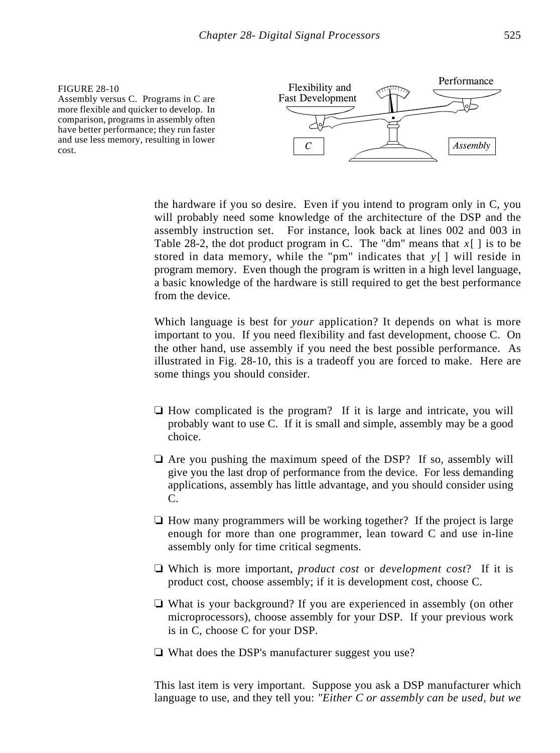

Assembly versus C. Programs in C are more flexible and quicker to develop. In comparison, programs in assembly often have better performance; they run faster and use less memory, resulting in lower cost.



the hardware if you so desire. Even if you intend to program only in C, you will probably need some knowledge of the architecture of the DSP and the assembly instruction set. For instance, look back at lines 002 and 003 in Table 28-2, the dot product program in C. The "dm" means that  $x \upharpoonright$  is to be stored in data memory, while the "pm" indicates that *y*[ ] will reside in program memory. Even though the program is written in a high level language, a basic knowledge of the hardware is still required to get the best performance from the device.

Which language is best for *your* application? It depends on what is more important to you. If you need flexibility and fast development, choose C. On the other hand, use assembly if you need the best possible performance. As illustrated in Fig. 28-10, this is a tradeoff you are forced to make. Here are some things you should consider.

- $\Box$  How complicated is the program? If it is large and intricate, you will probably want to use C. If it is small and simple, assembly may be a good choice.
- $\Box$  Are you pushing the maximum speed of the DSP? If so, assembly will give you the last drop of performance from the device. For less demanding applications, assembly has little advantage, and you should consider using C.
- $\Box$  How many programmers will be working together? If the project is large enough for more than one programmer, lean toward C and use in-line assembly only for time critical segments.
- ë Which is more important, *product cost* or *development cost*? If it is product cost, choose assembly; if it is development cost, choose C.
- $\Box$  What is your background? If you are experienced in assembly (on other microprocessors), choose assembly for your DSP. If your previous work is in C, choose C for your DSP.
- $\Box$  What does the DSP's manufacturer suggest you use?

This last item is very important. Suppose you ask a DSP manufacturer which language to use, and they tell you: *"Either C or assembly can be used, but we*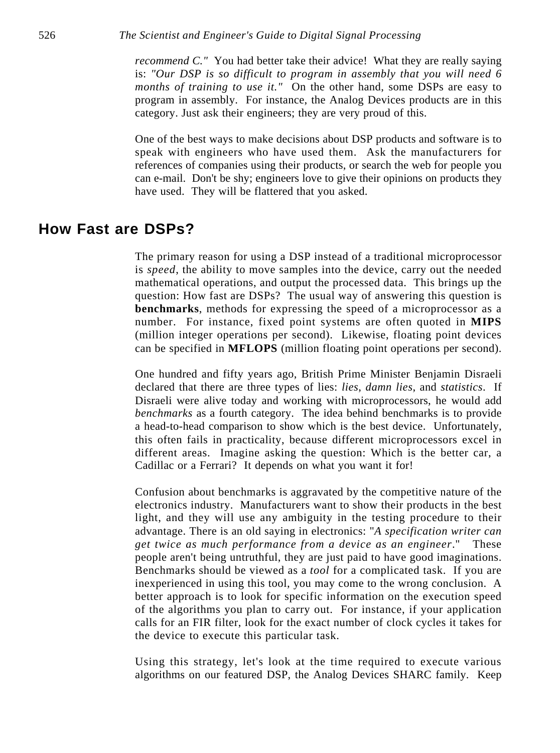*recommend C."* You had better take their advice! What they are really saying is: *"Our DSP is so difficult to program in assembly that you will need 6 months of training to use it."* On the other hand, some DSPs are easy to program in assembly. For instance, the Analog Devices products are in this category. Just ask their engineers; they are very proud of this.

One of the best ways to make decisions about DSP products and software is to speak with engineers who have used them. Ask the manufacturers for references of companies using their products, or search the web for people you can e-mail. Don't be shy; engineers love to give their opinions on products they have used. They will be flattered that you asked.

### **How Fast are DSPs?**

The primary reason for using a DSP instead of a traditional microprocessor is *speed*, the ability to move samples into the device, carry out the needed mathematical operations, and output the processed data. This brings up the question: How fast are DSPs? The usual way of answering this question is **benchmarks**, methods for expressing the speed of a microprocessor as a number. For instance, fixed point systems are often quoted in **MIPS** (million integer operations per second). Likewise, floating point devices can be specified in **MFLOPS** (million floating point operations per second).

One hundred and fifty years ago, British Prime Minister Benjamin Disraeli declared that there are three types of lies: *lies*, *damn lies*, and *statistics*. If Disraeli were alive today and working with microprocessors, he would add *benchmarks* as a fourth category. The idea behind benchmarks is to provide a head-to-head comparison to show which is the best device. Unfortunately, this often fails in practicality, because different microprocessors excel in different areas. Imagine asking the question: Which is the better car, a Cadillac or a Ferrari? It depends on what you want it for!

Confusion about benchmarks is aggravated by the competitive nature of the electronics industry. Manufacturers want to show their products in the best light, and they will use any ambiguity in the testing procedure to their advantage. There is an old saying in electronics: "*A specification writer can get twice as much performance from a device as an engineer*." These people aren't being untruthful, they are just paid to have good imaginations. Benchmarks should be viewed as a *tool* for a complicated task. If you are inexperienced in using this tool, you may come to the wrong conclusion. A better approach is to look for specific information on the execution speed of the algorithms you plan to carry out. For instance, if your application calls for an FIR filter, look for the exact number of clock cycles it takes for the device to execute this particular task.

Using this strategy, let's look at the time required to execute various algorithms on our featured DSP, the Analog Devices SHARC family. Keep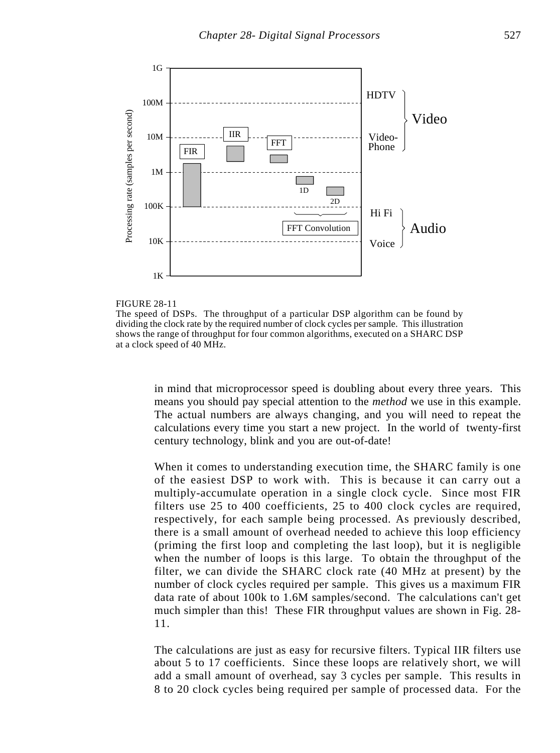

#### FIGURE 28-11

The speed of DSPs. The throughput of a particular DSP algorithm can be found by dividing the clock rate by the required number of clock cycles per sample. This illustration shows the range of throughput for four common algorithms, executed on a SHARC DSP

in mind that microprocessor speed is doubling about every three years. This means you should pay special attention to the *method* we use in this example. The actual numbers are always changing, and you will need to repeat the calculations every time you start a new project. In the world of twenty-first century technology, blink and you are out-of-date!

When it comes to understanding execution time, the SHARC family is one of the easiest DSP to work with. This is because it can carry out a multiply-accumulate operation in a single clock cycle. Since most FIR filters use 25 to 400 coefficients, 25 to 400 clock cycles are required, respectively, for each sample being processed. As previously described, there is a small amount of overhead needed to achieve this loop efficiency (priming the first loop and completing the last loop), but it is negligible when the number of loops is this large. To obtain the throughput of the filter, we can divide the SHARC clock rate (40 MHz at present) by the number of clock cycles required per sample. This gives us a maximum FIR data rate of about 100k to 1.6M samples/second. The calculations can't get much simpler than this! These FIR throughput values are shown in Fig. 28- 11.

The calculations are just as easy for recursive filters. Typical IIR filters use about 5 to 17 coefficients. Since these loops are relatively short, we will add a small amount of overhead, say 3 cycles per sample. This results in 8 to 20 clock cycles being required per sample of processed data. For the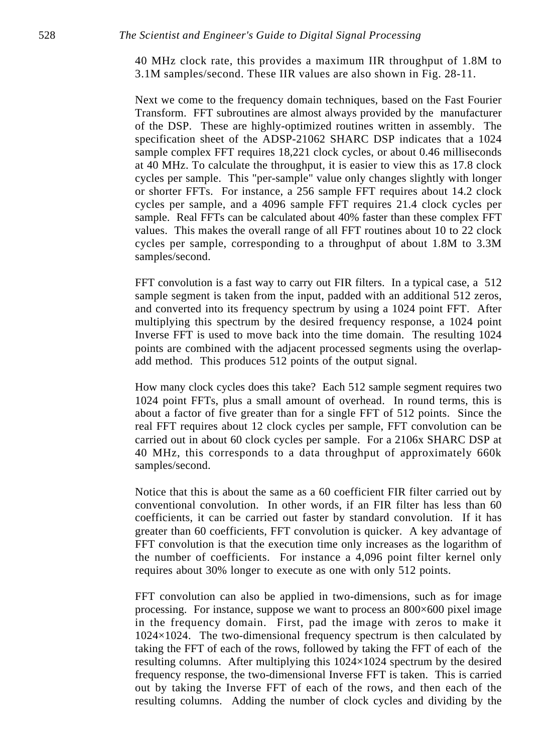40 MHz clock rate, this provides a maximum IIR throughput of 1.8M to 3.1M samples/second. These IIR values are also shown in Fig. 28-11.

Next we come to the frequency domain techniques, based on the Fast Fourier Transform. FFT subroutines are almost always provided by the manufacturer of the DSP. These are highly-optimized routines written in assembly. The specification sheet of the ADSP-21062 SHARC DSP indicates that a 1024 sample complex FFT requires 18,221 clock cycles, or about 0.46 milliseconds at 40 MHz. To calculate the throughput, it is easier to view this as 17.8 clock cycles per sample. This "per-sample" value only changes slightly with longer or shorter FFTs. For instance, a 256 sample FFT requires about 14.2 clock cycles per sample, and a 4096 sample FFT requires 21.4 clock cycles per sample. Real FFTs can be calculated about 40% faster than these complex FFT values. This makes the overall range of all FFT routines about 10 to 22 clock cycles per sample, corresponding to a throughput of about 1.8M to 3.3M samples/second.

FFT convolution is a fast way to carry out FIR filters. In a typical case, a 512 sample segment is taken from the input, padded with an additional 512 zeros, and converted into its frequency spectrum by using a 1024 point FFT. After multiplying this spectrum by the desired frequency response, a 1024 point Inverse FFT is used to move back into the time domain. The resulting 1024 points are combined with the adjacent processed segments using the overlapadd method. This produces 512 points of the output signal.

How many clock cycles does this take? Each 512 sample segment requires two 1024 point FFTs, plus a small amount of overhead. In round terms, this is about a factor of five greater than for a single FFT of 512 points. Since the real FFT requires about 12 clock cycles per sample, FFT convolution can be carried out in about 60 clock cycles per sample. For a 2106x SHARC DSP at 40 MHz, this corresponds to a data throughput of approximately 660k samples/second.

Notice that this is about the same as a 60 coefficient FIR filter carried out by conventional convolution. In other words, if an FIR filter has less than 60 coefficients, it can be carried out faster by standard convolution. If it has greater than 60 coefficients, FFT convolution is quicker. A key advantage of FFT convolution is that the execution time only increases as the logarithm of the number of coefficients. For instance a 4,096 point filter kernel only requires about 30% longer to execute as one with only 512 points.

FFT convolution can also be applied in two-dimensions, such as for image processing. For instance, suppose we want to process an  $800\times600$  pixel image in the frequency domain. First, pad the image with zeros to make it  $1024\times1024$ . The two-dimensional frequency spectrum is then calculated by taking the FFT of each of the rows, followed by taking the FFT of each of the resulting columns. After multiplying this 1024×1024 spectrum by the desired frequency response, the two-dimensional Inverse FFT is taken. This is carried out by taking the Inverse FFT of each of the rows, and then each of the resulting columns. Adding the number of clock cycles and dividing by the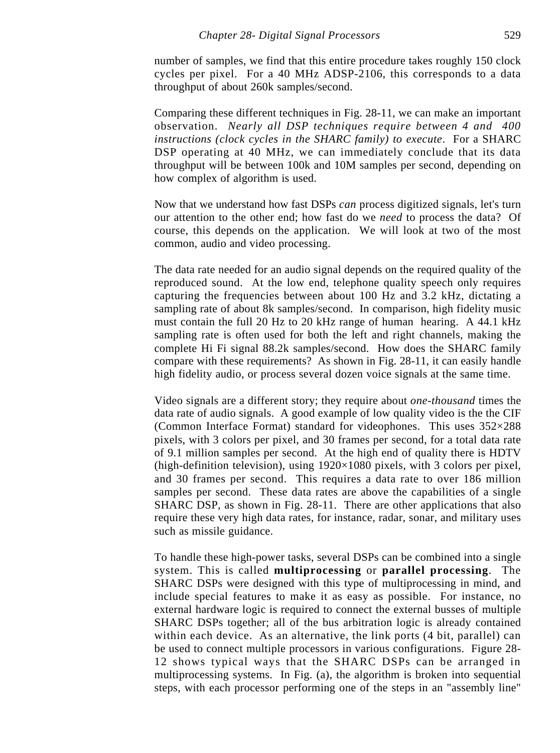number of samples, we find that this entire procedure takes roughly 150 clock cycles per pixel. For a 40 MHz ADSP-2106, this corresponds to a data throughput of about 260k samples/second.

Comparing these different techniques in Fig. 28-11, we can make an important observation. *Nearly all DSP techniques require between 4 and 400 instructions (clock cycles in the SHARC family) to execute*. For a SHARC DSP operating at 40 MHz, we can immediately conclude that its data throughput will be between 100k and 10M samples per second, depending on how complex of algorithm is used.

Now that we understand how fast DSPs *can* process digitized signals, let's turn our attention to the other end; how fast do we *need* to process the data? Of course, this depends on the application. We will look at two of the most common, audio and video processing.

The data rate needed for an audio signal depends on the required quality of the reproduced sound. At the low end, telephone quality speech only requires capturing the frequencies between about 100 Hz and 3.2 kHz, dictating a sampling rate of about 8k samples/second. In comparison, high fidelity music must contain the full 20 Hz to 20 kHz range of human hearing. A 44.1 kHz sampling rate is often used for both the left and right channels, making the complete Hi Fi signal 88.2k samples/second. How does the SHARC family compare with these requirements? As shown in Fig. 28-11, it can easily handle high fidelity audio, or process several dozen voice signals at the same time.

Video signals are a different story; they require about *one-thousand* times the data rate of audio signals. A good example of low quality video is the the CIF (Common Interface Format) standard for videophones. This uses 352×288 pixels, with 3 colors per pixel, and 30 frames per second, for a total data rate of 9.1 million samples per second. At the high end of quality there is HDTV (high-definition television), using 1920×1080 pixels, with 3 colors per pixel, and 30 frames per second. This requires a data rate to over 186 million samples per second. These data rates are above the capabilities of a single SHARC DSP, as shown in Fig. 28-11. There are other applications that also require these very high data rates, for instance, radar, sonar, and military uses such as missile guidance.

To handle these high-power tasks, several DSPs can be combined into a single system. This is called **multiprocessing** or **parallel processing**. The SHARC DSPs were designed with this type of multiprocessing in mind, and include special features to make it as easy as possible. For instance, no external hardware logic is required to connect the external busses of multiple SHARC DSPs together; all of the bus arbitration logic is already contained within each device. As an alternative, the link ports (4 bit, parallel) can be used to connect multiple processors in various configurations. Figure 28- 12 shows typical ways that the SHARC DSPs can be arranged in multiprocessing systems. In Fig. (a), the algorithm is broken into sequential steps, with each processor performing one of the steps in an "assembly line"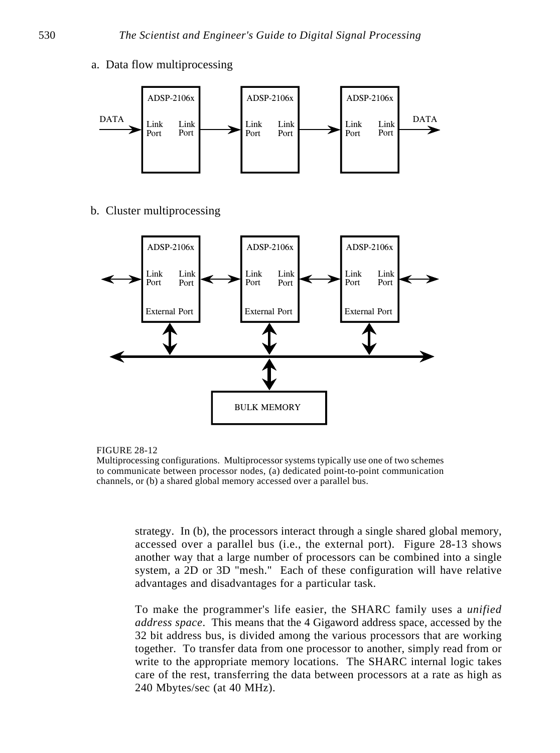a. Data flow multiprocessing



b. Cluster multiprocessing





Multiprocessing configurations. Multiprocessor systems typically use one of two schemes to communicate between processor nodes, (a) dedicated point-to-point communication channels, or (b) a shared global memory accessed over a parallel bus.

strategy. In (b), the processors interact through a single shared global memory, accessed over a parallel bus (i.e., the external port). Figure 28-13 shows another way that a large number of processors can be combined into a single system, a 2D or 3D "mesh." Each of these configuration will have relative advantages and disadvantages for a particular task.

To make the programmer's life easier, the SHARC family uses a *unified address space*. This means that the 4 Gigaword address space, accessed by the 32 bit address bus, is divided among the various processors that are working together. To transfer data from one processor to another, simply read from or write to the appropriate memory locations. The SHARC internal logic takes care of the rest, transferring the data between processors at a rate as high as 240 Mbytes/sec (at 40 MHz).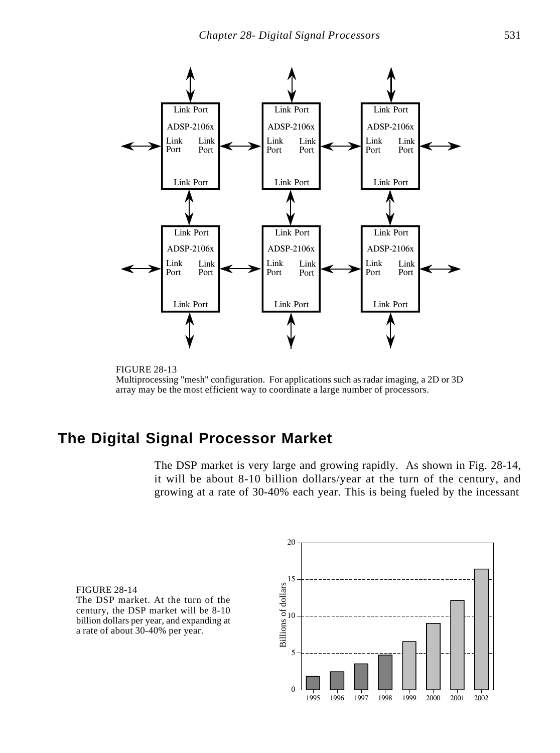

FIGURE 28-13 Multiprocessing "mesh" configuration. For applications such as radar imaging, a 2D or 3D array may be the most efficient way to coordinate a large number of processors.

## **The Digital Signal Processor Market**

The DSP market is very large and growing rapidly. As shown in Fig. 28-14, it will be about 8-10 billion dollars/year at the turn of the century, and growing at a rate of 30-40% each year. This is being fueled by the incessant



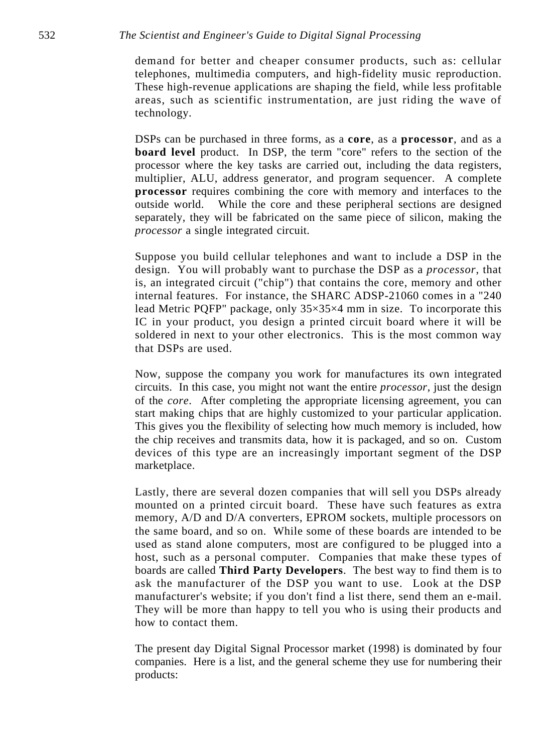#### 532 *The Scientist and Engineer's Guide to Digital Signal Processing*

demand for better and cheaper consumer products, such as: cellular telephones, multimedia computers, and high-fidelity music reproduction. These high-revenue applications are shaping the field, while less profitable areas, such as scientific instrumentation, are just riding the wave of technology.

DSPs can be purchased in three forms, as a **core**, as a **processor**, and as a **board level** product. In DSP, the term "core" refers to the section of the processor where the key tasks are carried out, including the data registers, multiplier, ALU, address generator, and program sequencer. A complete **processor** requires combining the core with memory and interfaces to the outside world. While the core and these peripheral sections are designed separately, they will be fabricated on the same piece of silicon, making the *processor* a single integrated circuit.

Suppose you build cellular telephones and want to include a DSP in the design. You will probably want to purchase the DSP as a *processor*, that is, an integrated circuit ("chip") that contains the core, memory and other internal features. For instance, the SHARC ADSP-21060 comes in a "240 lead Metric PQFP" package, only 35×35×4 mm in size. To incorporate this IC in your product, you design a printed circuit board where it will be soldered in next to your other electronics. This is the most common way that DSPs are used.

Now, suppose the company you work for manufactures its own integrated circuits. In this case, you might not want the entire *processor*, just the design of the *core*. After completing the appropriate licensing agreement, you can start making chips that are highly customized to your particular application. This gives you the flexibility of selecting how much memory is included, how the chip receives and transmits data, how it is packaged, and so on. Custom devices of this type are an increasingly important segment of the DSP marketplace.

Lastly, there are several dozen companies that will sell you DSPs already mounted on a printed circuit board. These have such features as extra memory, A/D and D/A converters, EPROM sockets, multiple processors on the same board, and so on. While some of these boards are intended to be used as stand alone computers, most are configured to be plugged into a host, such as a personal computer. Companies that make these types of boards are called **Third Party Developers**. The best way to find them is to ask the manufacturer of the DSP you want to use. Look at the DSP manufacturer's website; if you don't find a list there, send them an e-mail. They will be more than happy to tell you who is using their products and how to contact them.

The present day Digital Signal Processor market (1998) is dominated by four companies. Here is a list, and the general scheme they use for numbering their products: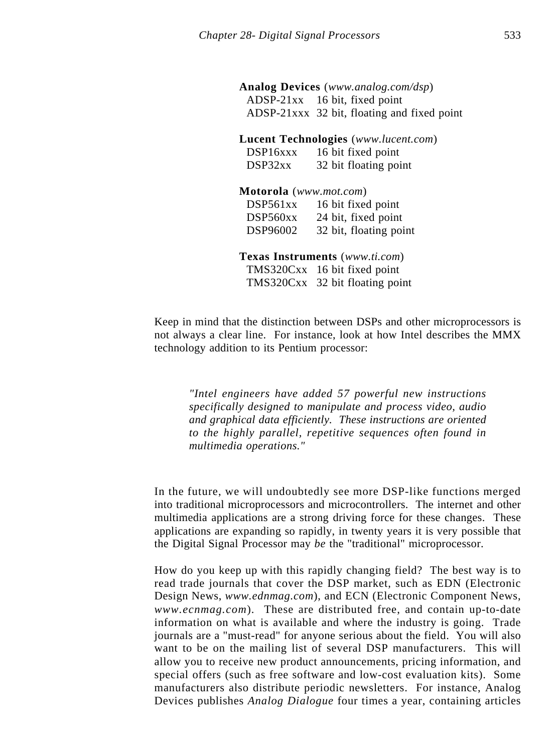| <b>Analog Devices</b> (www.analog.com/dsp)  |  |  |
|---------------------------------------------|--|--|
| ADSP-21xx 16 bit, fixed point               |  |  |
| ADSP-21xxx 32 bit, floating and fixed point |  |  |
| <b>Lucent Technologies</b> (www.lucent.com) |  |  |
| DSP16xxx<br>16 bit fixed point              |  |  |
| $DSP32xx$ 32 bit floating point             |  |  |
| <b>Motorola</b> (www.mot.com)               |  |  |
| DSP561xx<br>16 bit fixed point              |  |  |
| DSP560xx<br>24 bit, fixed point             |  |  |
| 32 bit, floating point                      |  |  |
| Texas Instruments (www.ti.com)              |  |  |
| TMS320Cxx 16 bit fixed point                |  |  |
| TMS320Cxx 32 bit floating point             |  |  |
|                                             |  |  |

Keep in mind that the distinction between DSPs and other microprocessors is not always a clear line. For instance, look at how Intel describes the MMX technology addition to its Pentium processor:

*"Intel engineers have added 57 powerful new instructions specifically designed to manipulate and process video, audio and graphical data efficiently. These instructions are oriented to the highly parallel, repetitive sequences often found in multimedia operations."*

In the future, we will undoubtedly see more DSP-like functions merged into traditional microprocessors and microcontrollers. The internet and other multimedia applications are a strong driving force for these changes. These applications are expanding so rapidly, in twenty years it is very possible that the Digital Signal Processor may *be* the "traditional" microprocessor.

How do you keep up with this rapidly changing field? The best way is to read trade journals that cover the DSP market, such as EDN (Electronic Design News, *www.ednmag.com*), and ECN (Electronic Component News, *www.ecnmag.com*). These are distributed free, and contain up-to-date information on what is available and where the industry is going. Trade journals are a "must-read" for anyone serious about the field. You will also want to be on the mailing list of several DSP manufacturers. This will allow you to receive new product announcements, pricing information, and special offers (such as free software and low-cost evaluation kits). Some manufacturers also distribute periodic newsletters. For instance, Analog Devices publishes *Analog Dialogue* four times a year, containing articles